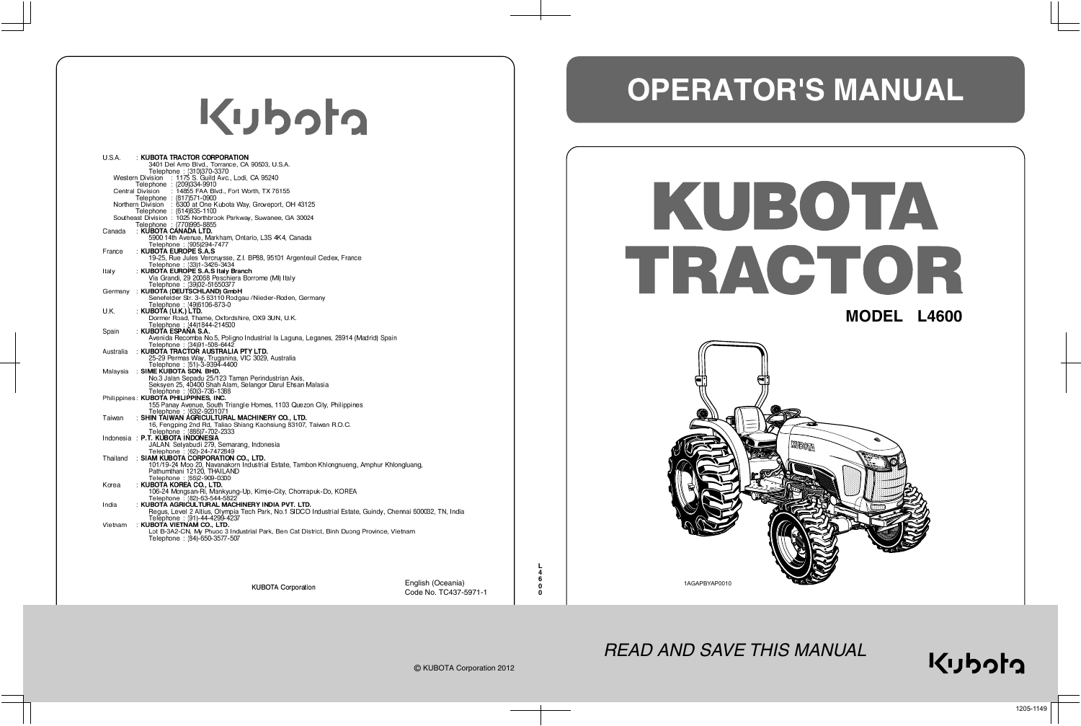# Kubota

| <b>U.S.A.</b> | : KUBOTA TRACTOR CORPORATION<br>3401 Del Amo Blvd., Torrance, CA 90503, U.S.A.                            |
|---------------|-----------------------------------------------------------------------------------------------------------|
|               | Telephone: (310)370-3370<br>Western Division : 1175 S. Guild Avc., Lodi, CA 95240                         |
|               | Telephone : (209)334-9910                                                                                 |
|               | <b>Central Division</b><br>: 14855 FAA Blvd., Fort Worth, TX 76155<br>Telephone: (817)571-0900            |
|               | Northern Division : 6300 at One Kubota Way, Groveport, OH 43125<br>Telephone: (614)835-1100               |
|               | Southeast Division: 1025 Northbrook Parkway, Suwanee, GA 30024<br>Telephone : (770)995-8855               |
| Canada        | : KUBOTA CANADA LTD.<br>5900 14th Avenue, Markham, Ontario, L3S 4K4, Canada                               |
|               | Telephone: (905)294-7477<br>: KUBOTA EUROPE S.A.S                                                         |
| France        | 19-25, Rue Jules Vercruysse, Z.I. BP88, 95101 Argenteuil Cedex, France                                    |
| Italv         | Telephone: (33)1-3426-3434<br>: KUBOTA EUROPE S.A.S Italy Branch                                          |
|               | Via Grandi, 29 20068 Peschiera Borrome (MI) Italy                                                         |
| Germany       | Telephone: (39)02-51650377<br>: KUBOTA (DEUTSCHLAND) GmbH                                                 |
|               | Senefelder Str. 3-5 63110 Rodgau /Nieder-Roden, Germany                                                   |
| U.K.          | Telephone: (49)6106-873-0<br>: KUBOTA (U.K.) LTD.                                                         |
|               | Dormer Road, Thame, Oxfordshire, OX9 3UN, U.K.                                                            |
|               | Telephone: (44)1844-214500<br>: KUBOTA ESPANA S.A.                                                        |
| Spain         | Avenida Recomba No.5, Poligno Industrial la Laguna, Leganes, 28914 (Madrid) Spain                         |
| Australia     | Telephone: (34)91-508-6442                                                                                |
|               | : KUBOTA TRACTOR AUSTRALIA PTY LTD.<br>25-29 Permas Way, Truganina, VIC 3029, Australia                   |
|               | Telephone: (61)-3-9394-4400                                                                               |
| Malaysia      | : SIME KUBOTA SDN. BHD.<br>No.3 Jalan Sepadu 25/123 Taman Perindustrian Axis,                             |
|               | Seksven 25, 40400 Shah Alam, Selangor Darul Ehsan Malasia                                                 |
|               | Telephone: (60)3-736-1388<br>Philippines: KUBOTA PHILIPPINES, INC.                                        |
|               | 155 Panay Avenue, South Triangle Homes, 1103 Quezon City, Philippines                                     |
| Taiwan        | Telephone: (63)2-9201071<br>: SHIN TAIWAN AGRICULTURAL MACHINERY CO., LTD.                                |
|               | 16, Fengping 2nd Rd, Taliao Shiang Kaohsiung 83107, Taiwan R.O.C.                                         |
|               | Telephone: (886)7-702-2333<br>Indonesia : P.T. KUBOTA INDONESIA                                           |
|               | JALAN. Setyabudi 279, Semarang, Indonesia                                                                 |
| Thailand      | Telephone: (62)-24-7472849<br>: SIAM KUBOTA CORPORATION CO., LTD.                                         |
|               | 101/19-24 Moo 20, Navanakorn Industrial Estate, Tambon Khlongnueng, Amphur Khlongluang,                   |
|               | Pathumthani 12120, THAILAND                                                                               |
| Korea         | Telephone: (66)2-909-0300<br>: KUBOTA KOREA CO., LTD.                                                     |
|               | 106-24 Mongsan-Ri, Mankyung-Up, Kimje-City, Chonrapuk-Do, KOREA                                           |
| India         | Telephone: (82)-63-544-5822<br>: KUBOTA AGRICULTURAL MACHINERY INDIA PVT. LTD.                            |
|               | Regus, Level 2 Altius, Olympia Tech Park, No.1 SIDCO Industrial Estate, Guindy, Chennai 600032, TN, India |
| Vietnam       | Telephone: (91)-44-4299-4237<br>: KUBOTA VIETNAM CO., LTD.                                                |
|               | Lot B-3A2-CN, My Phuoc 3 Industrial Park, Ben Cat District, Binh Duong Province, Vietnam                  |
|               | Telephone: (84)-650-3577-507                                                                              |
|               |                                                                                                           |
|               |                                                                                                           |
|               |                                                                                                           |

**KUBOTA Corporation** 

# KUBOTA TRACTOR **MODEL L4600**

## **OPERATOR'S MANUAL**



Code No. TC437-5971-1



#### *READ AND SAVE THIS MANUAL*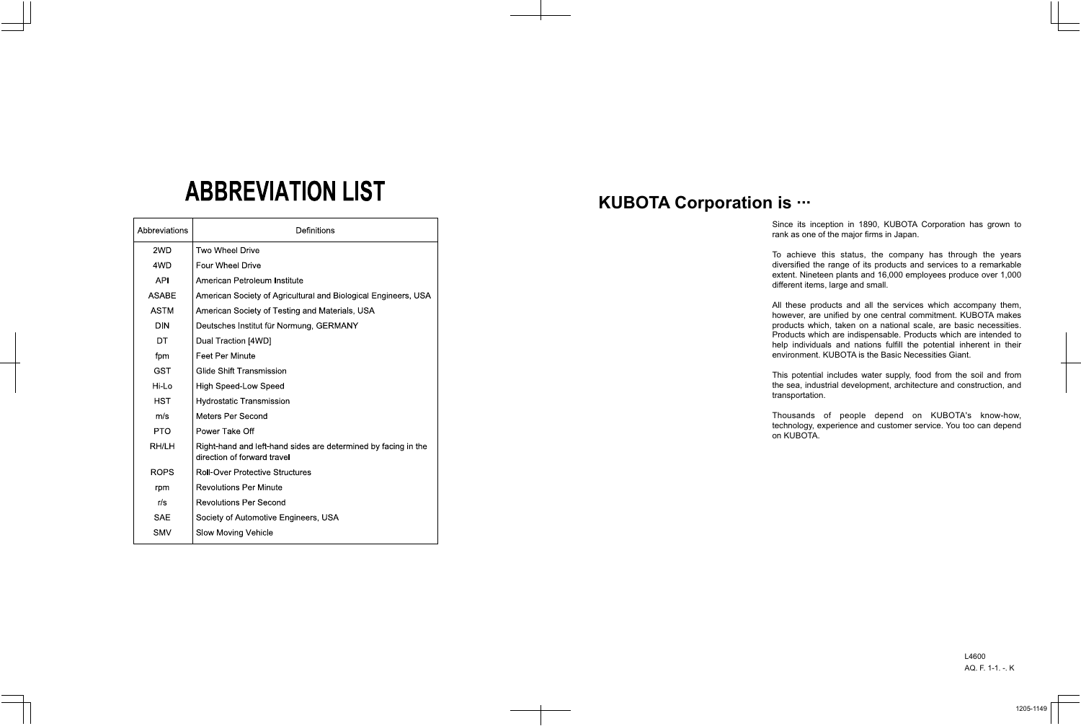Since its inception in 1890, KUBOTA Corporation has grown to ank as one of the major firms in Japan.

achieve this status, the company has through the years versified the range of its products and services to a remarkable extent. Nineteen plants and 16,000 employees produce over 1,000 ifferent items, large and small.

these products and all the services which accompany them, wever, are unified by one central commitment. KUBOTA makes products which, taken on a national scale, are basic necessities. roducts which are indispensable. Products which are intended to elp individuals and nations fulfill the potential inherent in their nvironment. KUBOTA is the Basic Necessities Giant.

### **ABBREVIATION LIST**

his potential includes water supply, food from the soil and from the sea, industrial development, architecture and construction, and ansportation.

| Abbreviations | Definitions                                                                                   |
|---------------|-----------------------------------------------------------------------------------------------|
| 2WD           | <b>Two Wheel Drive</b>                                                                        |
| 4WD           | <b>Four Wheel Drive</b>                                                                       |
| <b>API</b>    | American Petroleum Institute                                                                  |
| <b>ASABE</b>  | American Society of Agricultural and Biological Engineers, USA                                |
| <b>ASTM</b>   | American Society of Testing and Materials, USA                                                |
| <b>DIN</b>    | Deutsches Institut für Normung, GERMANY                                                       |
| DT            | Dual Traction [4WD]                                                                           |
| fpm           | <b>Feet Per Minute</b>                                                                        |
| <b>GST</b>    | <b>Glide Shift Transmission</b>                                                               |
| Hi-Lo         | <b>High Speed-Low Speed</b>                                                                   |
| <b>HST</b>    | <b>Hydrostatic Transmission</b>                                                               |
| m/s           | Meters Per Second                                                                             |
| <b>PTO</b>    | Power Take Off                                                                                |
| RH/LH         | Right-hand and left-hand sides are determined by facing in the<br>direction of forward travel |
| <b>ROPS</b>   | <b>Roll-Over Protective Structures</b>                                                        |
| rpm           | <b>Revolutions Per Minute</b>                                                                 |
| r/s           | <b>Revolutions Per Second</b>                                                                 |
| <b>SAE</b>    | Society of Automotive Engineers, USA                                                          |
| <b>SMV</b>    | <b>Slow Moving Vehicle</b>                                                                    |

nousands of people depend on KUBOTA's know-how, chnology, experience and customer service. You too can depend **KUBOTA.** 

### **KUBOTA Corporation is ···**

| rar                                |
|------------------------------------|
| To<br>di<br>ex<br>dif              |
| All<br>ho<br>pro<br>Pr<br>he<br>en |
| Th<br>the<br>tra                   |
| Th<br>teo<br>on                    |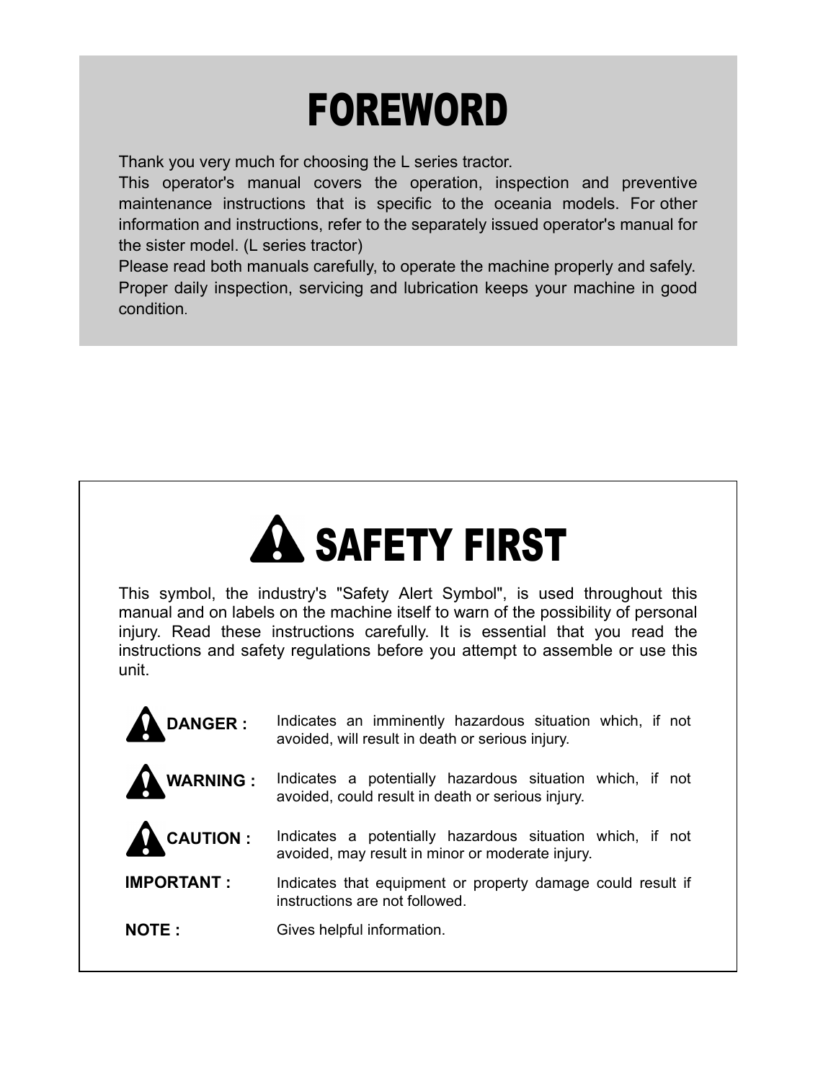### FOREWORD

Thank you very much for choosing the L series tractor.

This operator's manual covers the operation, inspection and preventive maintenance instructions that is specific to the oceania models. For other information and instructions, refer to the separately issued operator's manual for the sister model. (L series tractor)

Please read both manuals carefully, to operate the machine properly and safely. Proper daily inspection, servicing and lubrication keeps your machine in good condition.

### **A SAFETY FIRST**

This symbol, the industry's "Safety Alert Symbol", is used throughout this manual and on labels on the machine itself to warn of the possibility of personal injury. Read these instructions carefully. It is essential that you read the instructions and safety regulations before you attempt to assemble or use this unit.

| <b>DANGER:</b>    | Indicates an imminently hazardous situation which, if not<br>avoided, will result in death or serious injury.  |
|-------------------|----------------------------------------------------------------------------------------------------------------|
| <b>WARNING:</b>   | Indicates a potentially hazardous situation which, if not<br>avoided, could result in death or serious injury. |
| CAUTION :         | Indicates a potentially hazardous situation which, if not<br>avoided, may result in minor or moderate injury.  |
| <b>IMPORTANT:</b> | Indicates that equipment or property damage could result if<br>instructions are not followed.                  |
| <b>NOTE:</b>      | Gives helpful information.                                                                                     |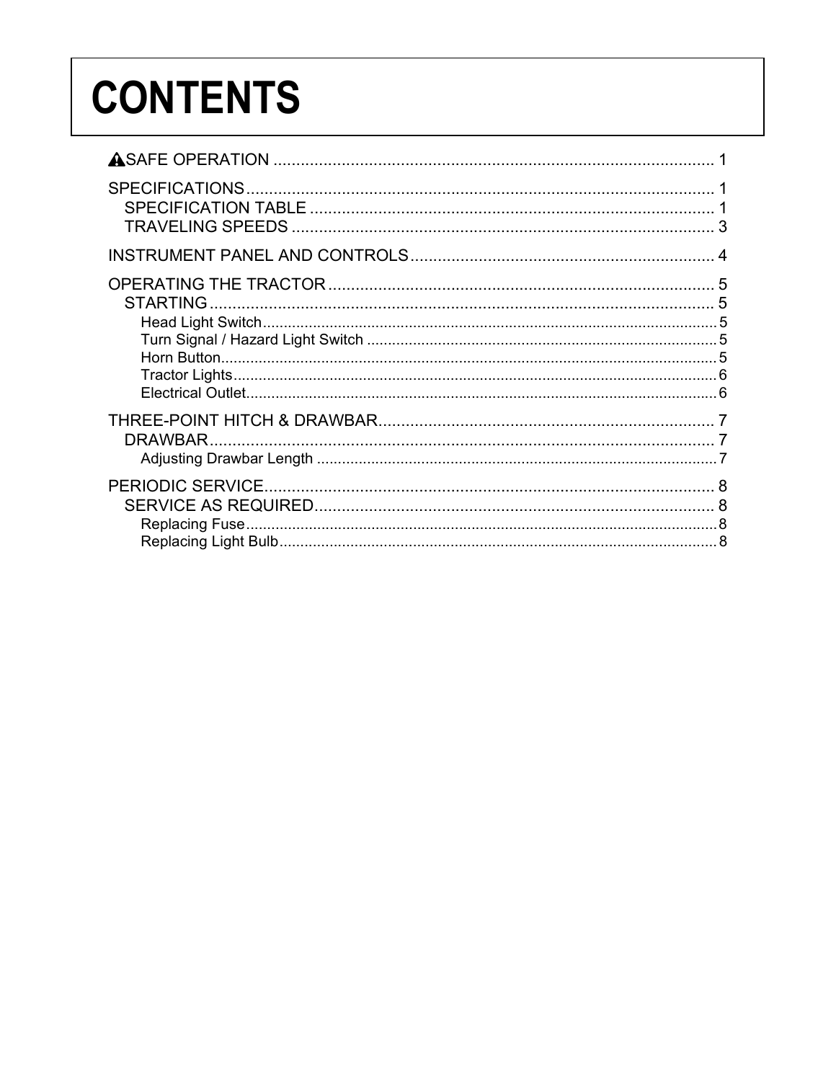### **CONTENTS**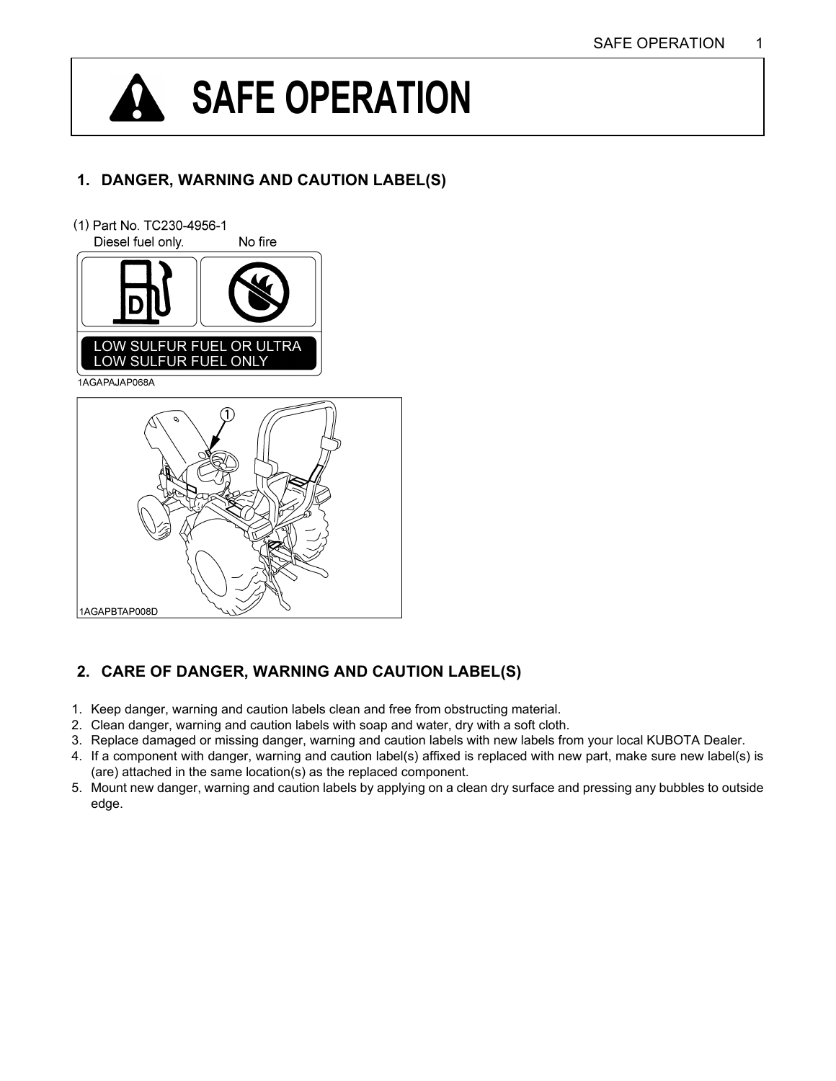### <span id="page-4-0"></span>**SAFE OPERATION**

#### **1. DANGER, WARNING AND CAUTION LABEL(S)**



#### **2. CARE OF DANGER, WARNING AND CAUTION LABEL(S)**

- 1. Keep danger, warning and caution labels clean and free from obstructing material.
- 2. Clean danger, warning and caution labels with soap and water, dry with a soft cloth.
- 3. Replace damaged or missing danger, warning and caution labels with new labels from your local KUBOTA Dealer.
- 4. If a component with danger, warning and caution label(s) affixed is replaced with new part, make sure new label(s) is (are) attached in the same location(s) as the replaced component.
- 5. Mount new danger, warning and caution labels by applying on a clean dry surface and pressing any bubbles to outside edge.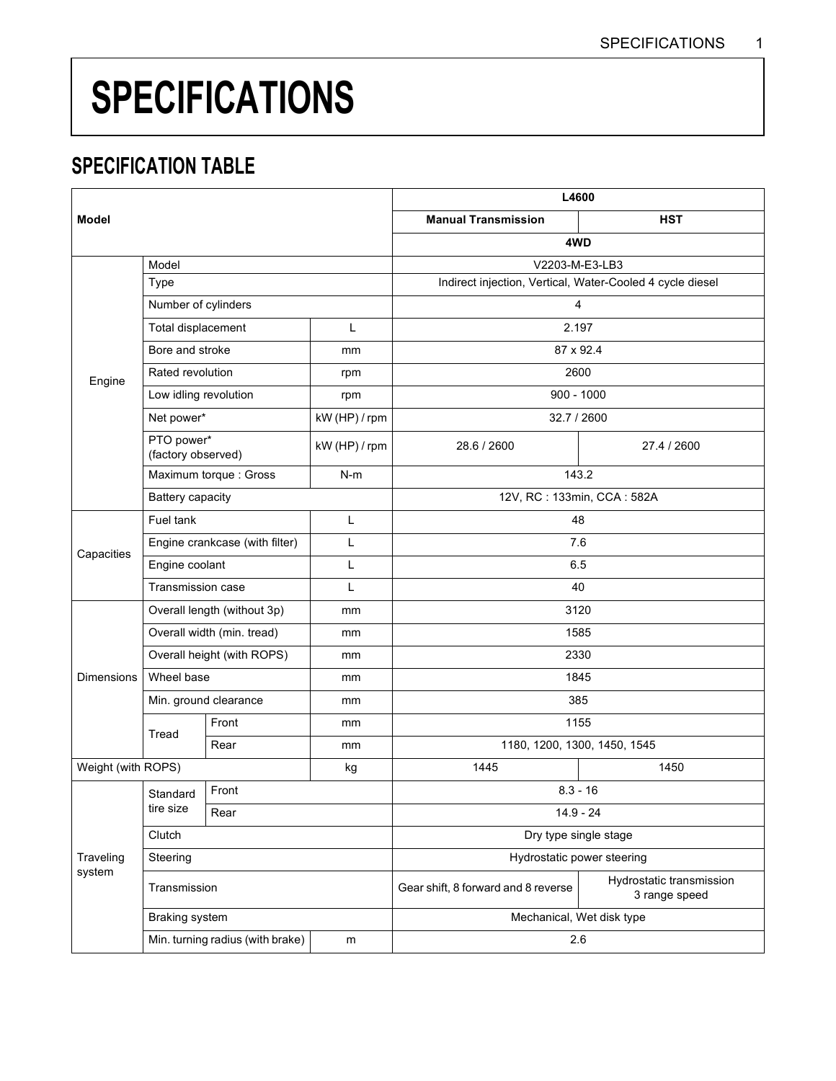### <span id="page-5-0"></span>**SPECIFICATIONS**

#### <span id="page-5-1"></span>**SPECIFICATION TABLE**

|                    |                                       |                       |                       | L4600                                                     |                                           |
|--------------------|---------------------------------------|-----------------------|-----------------------|-----------------------------------------------------------|-------------------------------------------|
| <b>Model</b>       |                                       |                       |                       | <b>Manual Transmission</b>                                | <b>HST</b>                                |
|                    |                                       |                       |                       | 4WD                                                       |                                           |
|                    | Model                                 |                       |                       | V2203-M-E3-LB3                                            |                                           |
|                    | Type                                  |                       |                       | Indirect injection, Vertical, Water-Cooled 4 cycle diesel |                                           |
|                    | Number of cylinders                   |                       |                       | $\overline{4}$                                            |                                           |
|                    | Total displacement                    |                       | L                     | 2.197                                                     |                                           |
|                    | Bore and stroke                       |                       | mm                    | 87 x 92.4                                                 |                                           |
| Engine             | Rated revolution                      |                       | rpm                   | 2600                                                      |                                           |
|                    | Low idling revolution                 |                       | rpm                   | $900 - 1000$                                              |                                           |
|                    | Net power*                            |                       | kW (HP) / rpm         | 32.7 / 2600                                               |                                           |
|                    | PTO power*<br>(factory observed)      |                       | kW (HP) / rpm         | 28.6 / 2600                                               | 27.4 / 2600                               |
|                    |                                       | Maximum torque: Gross | $N-m$                 | 143.2                                                     |                                           |
|                    | Battery capacity                      |                       |                       | 12V, RC: 133min, CCA: 582A                                |                                           |
|                    | Fuel tank                             |                       | L                     | 48                                                        |                                           |
| Capacities         | Engine crankcase (with filter)        |                       | L                     | 7.6                                                       |                                           |
|                    | Engine coolant                        |                       | L                     | 6.5                                                       |                                           |
|                    | <b>Transmission case</b>              |                       | L                     | 40                                                        |                                           |
|                    | Overall length (without 3p)           |                       | mm                    | 3120                                                      |                                           |
|                    | Overall width (min. tread)            |                       | mm                    | 1585                                                      |                                           |
|                    | Overall height (with ROPS)            |                       | mm                    | 2330                                                      |                                           |
| <b>Dimensions</b>  | Wheel base                            |                       | mm                    | 1845                                                      |                                           |
|                    | Min. ground clearance                 |                       | mm                    | 385                                                       |                                           |
|                    | Tread                                 | Front                 | mm                    | 1155                                                      |                                           |
|                    | Rear                                  |                       | mm                    | 1180, 1200, 1300, 1450, 1545                              |                                           |
| Weight (with ROPS) |                                       | kg                    | 1445                  | 1450                                                      |                                           |
|                    | Standard                              | Front                 |                       | $8.3 - 16$                                                |                                           |
|                    | tire size                             | Rear                  |                       | $14.9 - 24$                                               |                                           |
|                    | Clutch                                |                       | Dry type single stage |                                                           |                                           |
| Traveling          | Steering                              |                       |                       | Hydrostatic power steering                                |                                           |
| system             | Transmission                          |                       |                       | Gear shift, 8 forward and 8 reverse                       | Hydrostatic transmission<br>3 range speed |
|                    | <b>Braking system</b>                 |                       |                       | Mechanical, Wet disk type                                 |                                           |
|                    | Min. turning radius (with brake)<br>m |                       | 2.6                   |                                                           |                                           |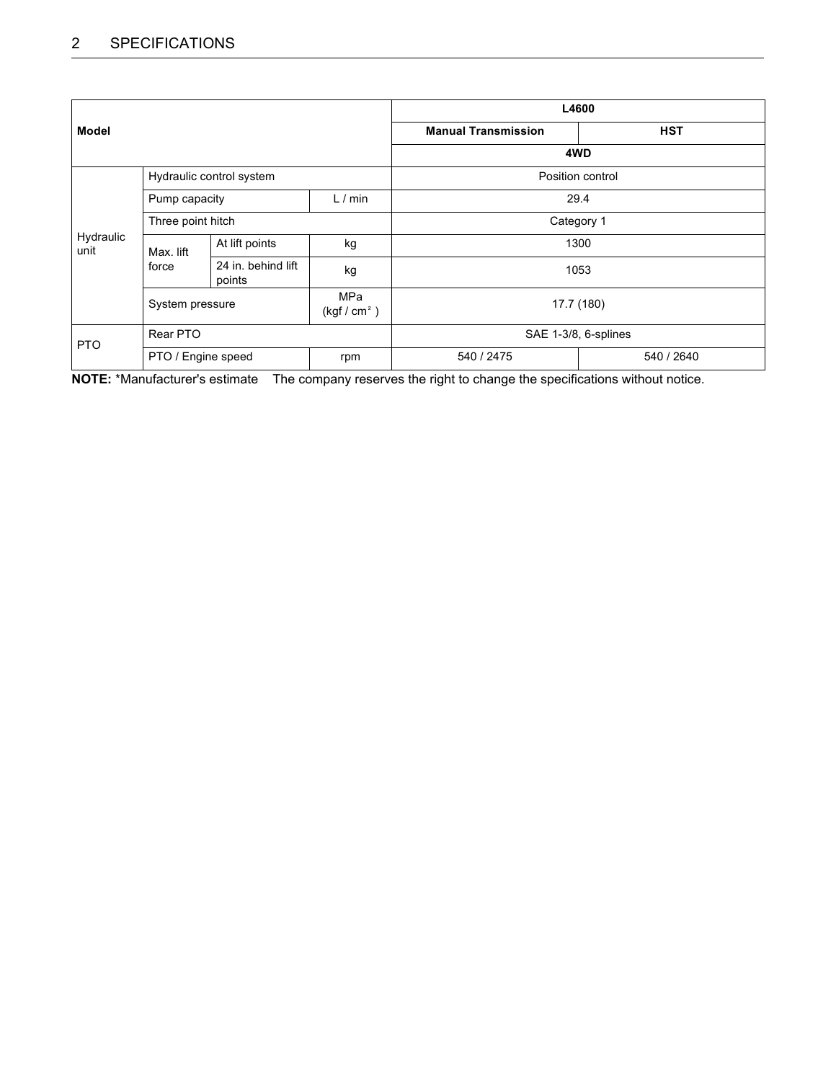|                   |                                                  |                              |                      |                            | L4600      |
|-------------------|--------------------------------------------------|------------------------------|----------------------|----------------------------|------------|
| <b>Model</b>      |                                                  |                              |                      | <b>Manual Transmission</b> | <b>HST</b> |
|                   |                                                  |                              |                      | 4WD                        |            |
|                   | Hydraulic control system                         |                              | Position control     |                            |            |
|                   | Pump capacity                                    |                              | L/min                | 29.4                       |            |
|                   | Three point hitch                                |                              | Category 1           |                            |            |
| Hydraulic<br>unit | Max. lift<br>force                               | At lift points               | kg                   | 1300                       |            |
|                   |                                                  | 24 in. behind lift<br>points | kg                   |                            | 1053       |
|                   | MPa<br>System pressure<br>(kgf/cm <sup>2</sup> ) |                              | 17.7 (180)           |                            |            |
| <b>PTO</b>        | Rear PTO                                         |                              | SAE 1-3/8, 6-splines |                            |            |
|                   | PTO / Engine speed                               |                              | rpm                  | 540 / 2475                 | 540 / 2640 |

**NOTE:** \*Manufacturer's estimate The company reserves the right to change the specifications without notice.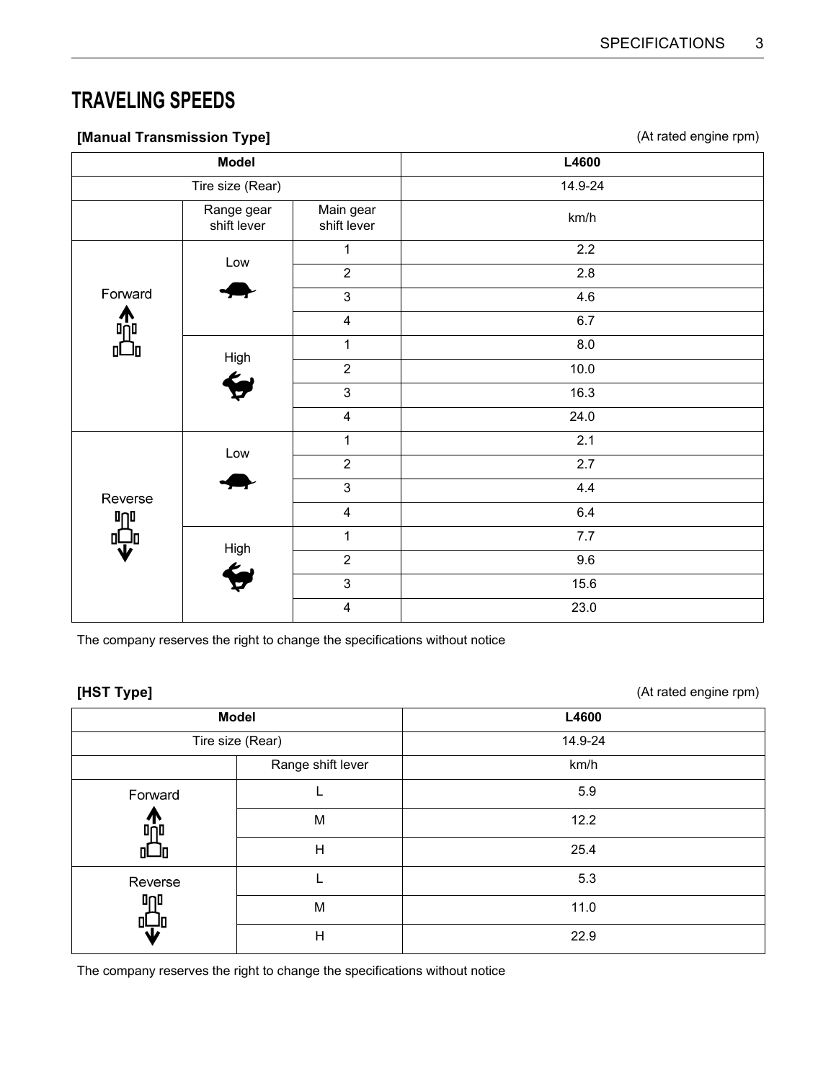#### <span id="page-7-0"></span>**TRAVELING SPEEDS**

| $\sim$   |                           |                          | $\overline{\phantom{a}}$<br>$\sim$ $\sim$ $\sim$<br>,,,,<br>$\lambda$<br>ັ<br>$\mathbf{1}$ |  |  |
|----------|---------------------------|--------------------------|--------------------------------------------------------------------------------------------|--|--|
|          | <b>Model</b>              | L4600                    |                                                                                            |  |  |
|          | Tire size (Rear)          |                          | 14.9-24                                                                                    |  |  |
|          | Range gear<br>shift lever | Main gear<br>shift lever | km/h                                                                                       |  |  |
|          |                           | 1                        | 2.2                                                                                        |  |  |
|          | Low                       | $\overline{2}$           | 2.8                                                                                        |  |  |
| Forward  |                           | $\mathbf{3}$             | 4.6                                                                                        |  |  |
| ∩<br>¤∩¤ |                           | $\overline{4}$           | 6.7                                                                                        |  |  |
| П        | High                      | 1                        | $8.0\,$                                                                                    |  |  |
|          |                           | $\overline{2}$           | 10.0                                                                                       |  |  |
|          |                           | $\mathfrak{S}$           | 16.3                                                                                       |  |  |
|          |                           | $\overline{\mathbf{4}}$  | 24.0                                                                                       |  |  |
|          | Low                       | 1                        | 2.1                                                                                        |  |  |
|          |                           | $\mathbf 2$              | 2.7                                                                                        |  |  |
| Reverse  |                           | $\mathfrak{S}$           | 4.4                                                                                        |  |  |
| 叩        |                           | $\overline{\mathbf{4}}$  | $6.4\,$                                                                                    |  |  |
| 마.<br>业  | High                      | $\mathbf{1}$             | 7.7                                                                                        |  |  |
|          |                           | $\overline{2}$           | 9.6                                                                                        |  |  |
|          |                           | $\mathsf 3$              | 15.6                                                                                       |  |  |
|          |                           | $\overline{\mathbf{4}}$  | 23.0                                                                                       |  |  |
|          |                           |                          |                                                                                            |  |  |

**[Manual Transmission Type]** (At rated engine rpm)

The company reserves the right to change the specifications without notice

**[HST Type]** (At rated engine rpm)

|                  | <b>Model</b>      | L4600   |
|------------------|-------------------|---------|
|                  | Tire size (Rear)  | 14.9-24 |
|                  | Range shift lever | km/h    |
| Forward          |                   | 5.9     |
| ч<br><b>Ond</b>  | M                 | 12.2    |
| <b>QL_ID</b>     | H                 | 25.4    |
| Reverse          |                   | 5.3     |
| <b>Inl</b><br>01 | M                 | 11.0    |
|                  | $\mathsf{H}$      | 22.9    |

The company reserves the right to change the specifications without notice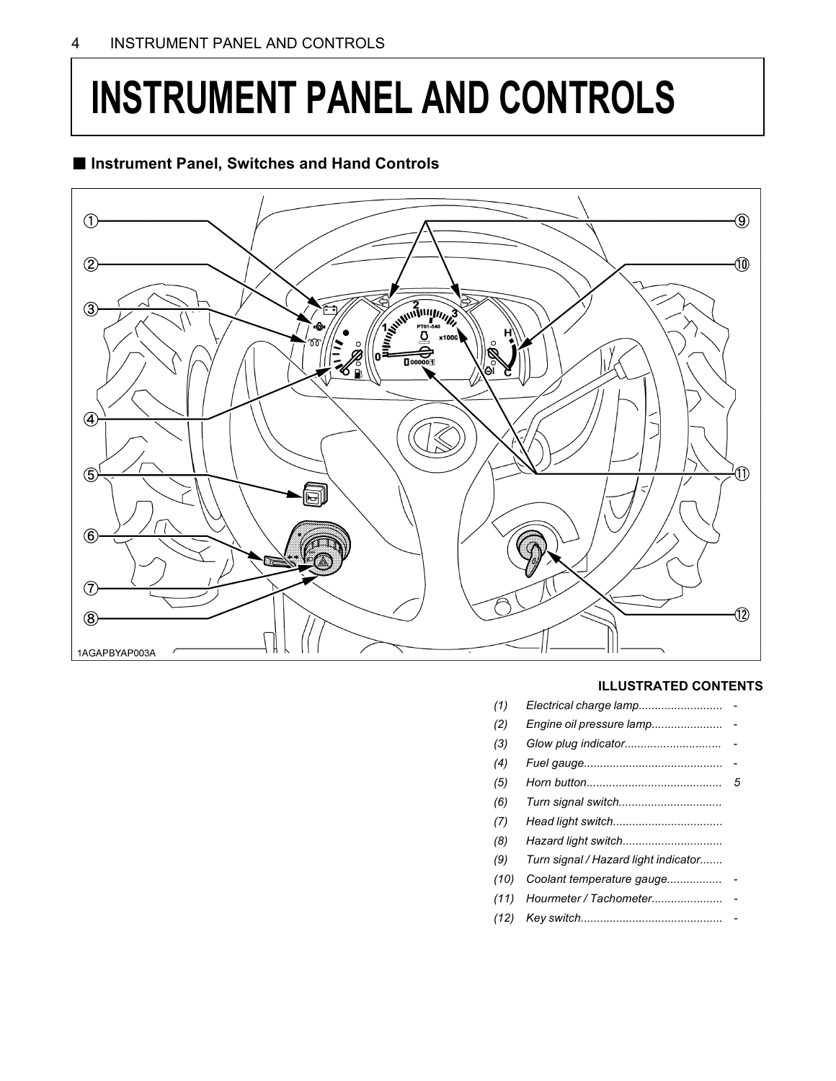### <span id="page-8-0"></span>**INSTRUMENT PANEL AND CONTROLS**

#### ■ Instrument Panel, Switches and Hand Controls



#### **ILLUSTRATED CONTENTS**

| (2) |   |
|-----|---|
| (3) |   |
| (4) |   |
| (5) | 5 |
|     |   |

- *(6) Turn signal switch................................*
- *(7) Head light switch..................................*
- *(8) Hazard light switch...............................*
- *(9) Turn signal / Hazard light indicator.......*
- *(10) Coolant temperature gauge................. -*
- *(11) Hourmeter / Tachometer...................... -*
- *(12) Key switch............................................ -*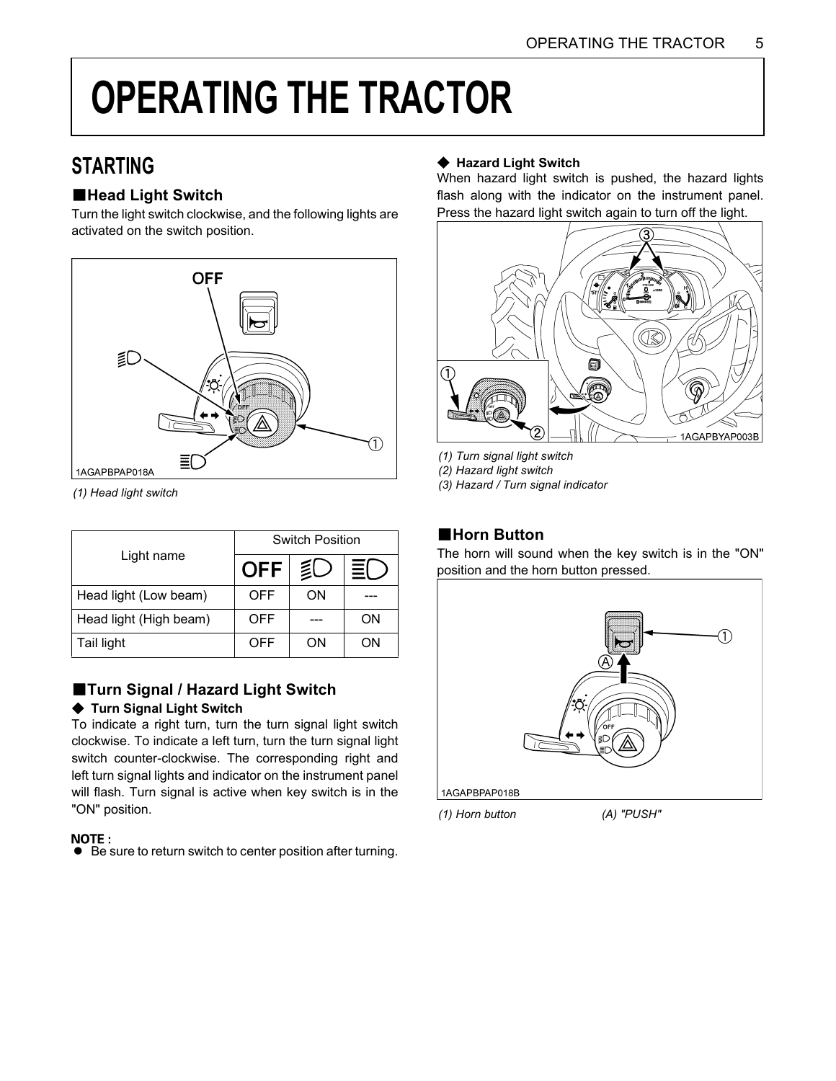### <span id="page-9-0"></span>**OPERATING THE TRACTOR**

#### <span id="page-9-1"></span>**STARTING**

#### <span id="page-9-2"></span>**E**Head Light Switch

Turn the light switch clockwise, and the following lights are activated on the switch position.



*(1) Head light switch*

|                        | Switch Position |    |    |  |
|------------------------|-----------------|----|----|--|
| Light name             | <b>OFF</b>      | 廴  | 亖( |  |
| Head light (Low beam)  | OFF             | ON |    |  |
| Head light (High beam) | OFF             |    | ΟN |  |
| Tail light             | OFF             | ΟN | OΝ |  |

#### <span id="page-9-3"></span>B**Turn Signal / Hazard Light Switch**

#### **← Turn Signal Light Switch**

To indicate a right turn, turn the turn signal light switch clockwise. To indicate a left turn, turn the turn signal light switch counter-clockwise. The corresponding right and left turn signal lights and indicator on the instrument panel will flash. Turn signal is active when key switch is in the "ON" position.

#### **NOTE:**

 $\bullet$  Be sure to return switch to center position after turning.

#### **← Hazard Light Switch**

When hazard light switch is pushed, the hazard lights flash along with the indicator on the instrument panel. Press the hazard light switch again to turn off the light.



- *(1) Turn signal light switch*
- *(2) Hazard light switch*

*(3) Hazard / Turn signal indicator*

#### <span id="page-9-5"></span><span id="page-9-4"></span>**E**Horn Button

The horn will sound when the key switch is in the "ON" position and the horn button pressed.



*(1) Horn button (A) "PUSH"*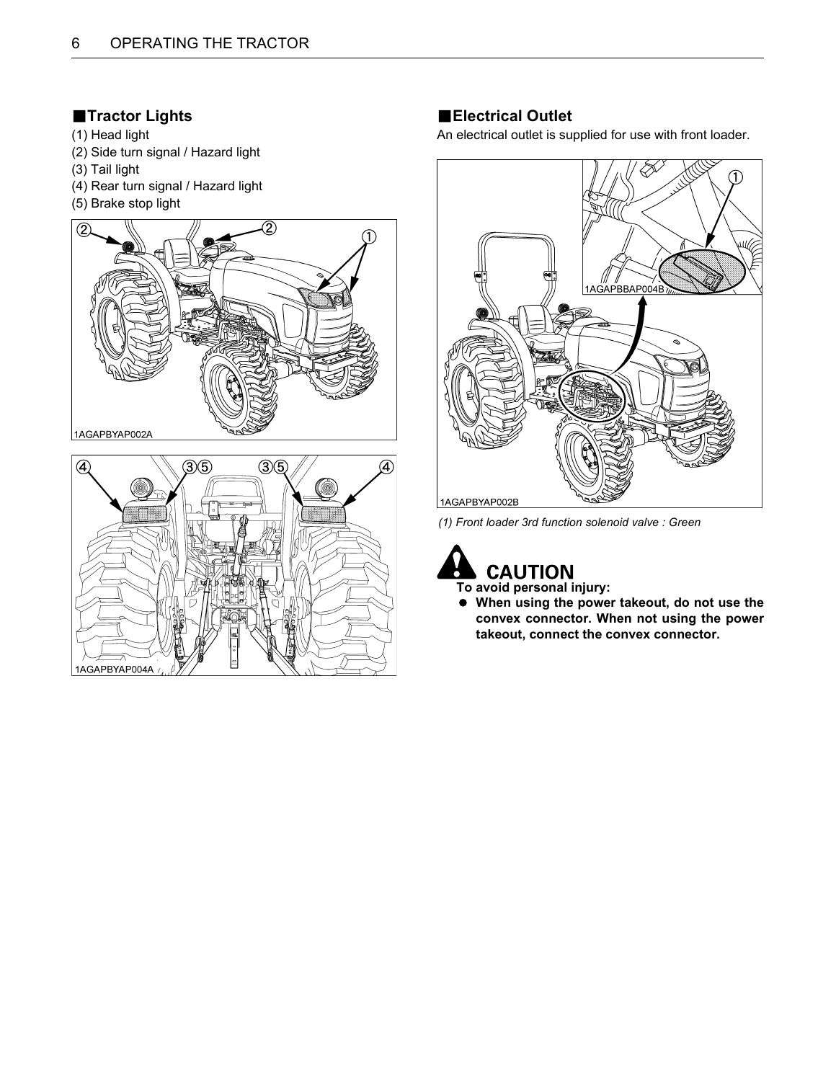#### <span id="page-10-0"></span>**FTractor Lights**

- (1) Head light
- (2) Side turn signal / Hazard light
- (3) Tail light
- (4) Rear turn signal / Hazard light
- (5) Brake stop light





#### <span id="page-10-1"></span>**Electrical Outlet**

An electrical outlet is supplied for use with front loader.

![](_page_10_Picture_11.jpeg)

*(1) Front loader 3rd function solenoid valve : Green*

![](_page_10_Picture_13.jpeg)

A **When using the power takeout, do not use the convex connector. When not using the power takeout, connect the convex connector.**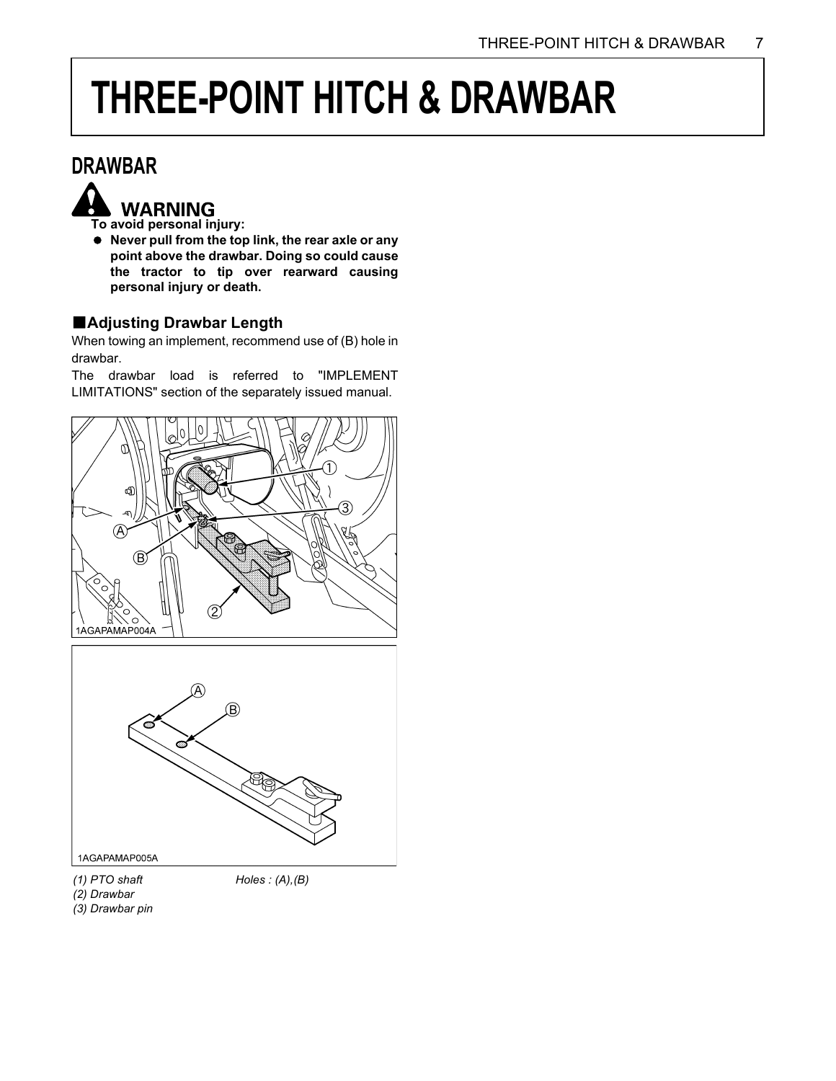### <span id="page-11-0"></span>**THREE-POINT HITCH & DRAWBAR**

#### <span id="page-11-1"></span>**DRAWBAR**

![](_page_11_Picture_3.jpeg)

A **Never pull from the top link, the rear axle or any point above the drawbar. Doing so could cause the tractor to tip over rearward causing personal injury or death.**

#### <span id="page-11-2"></span>B**Adjusting Drawbar Length**

When towing an implement, recommend use of (B) hole in drawbar.

The drawbar load is referred to "IMPLEMENT LIMITATIONS" section of the separately issued manual.

![](_page_11_Picture_8.jpeg)

![](_page_11_Figure_9.jpeg)

*(1) PTO shaft*

*Holes : (A),(B)*

*(2) Drawbar*

*(3) Drawbar pin*